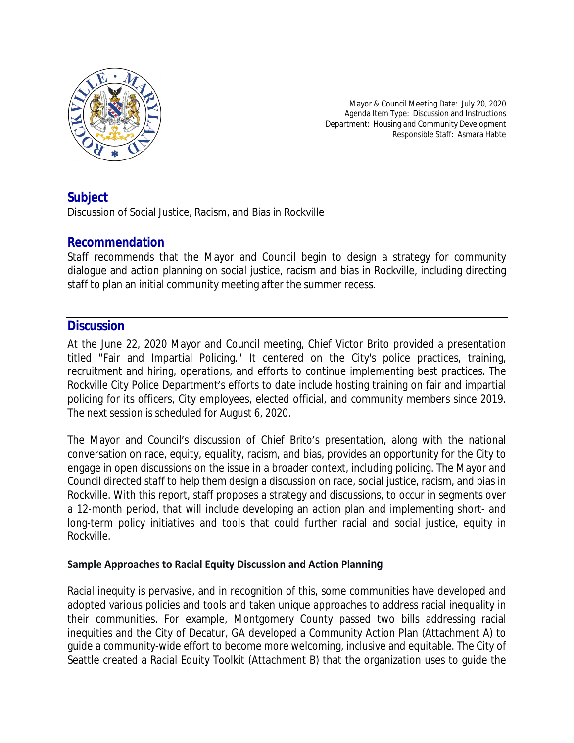

Mayor & Council Meeting Date: July 20, 2020 Agenda Item Type: Discussion and Instructions Department: Housing and Community Development Responsible Staff: Asmara Habte

# **Subject**

Discussion of Social Justice, Racism, and Bias in Rockville

### **Recommendation**

Staff recommends that the Mayor and Council begin to design a strategy for community dialogue and action planning on social justice, racism and bias in Rockville, including directing staff to plan an initial community meeting after the summer recess.

# **Discussion**

At the June 22, 2020 Mayor and Council meeting, Chief Victor Brito provided a presentation titled "Fair and Impartial Policing." It centered on the City's police practices, training, recruitment and hiring, operations, and efforts to continue implementing best practices. The Rockville City Police Department's efforts to date include hosting training on fair and impartial policing for its officers, City employees, elected official, and community members since 2019. The next session is scheduled for August 6, 2020.

The Mayor and Council's discussion of Chief Brito's presentation, along with the national conversation on race, equity, equality, racism, and bias, provides an opportunity for the City to engage in open discussions on the issue in a broader context, including policing. The Mayor and Council directed staff to help them design a discussion on race, social justice, racism, and bias in Rockville. With this report, staff proposes a strategy and discussions, to occur in segments over a 12-month period, that will include developing an action plan and implementing short- and long-term policy initiatives and tools that could further racial and social justice, equity in Rockville.

#### **Sample Approaches to Racial Equity Discussion and Action Planning**

Racial inequity is pervasive, and in recognition of this, some communities have developed and adopted various policies and tools and taken unique approaches to address racial inequality in their communities. For example, Montgomery County passed two bills addressing racial inequities and the City of Decatur, GA developed a Community Action Plan (Attachment A) to guide a community-wide effort to become more welcoming, inclusive and equitable. The City of Seattle created a Racial Equity Toolkit (Attachment B) that the organization uses to guide the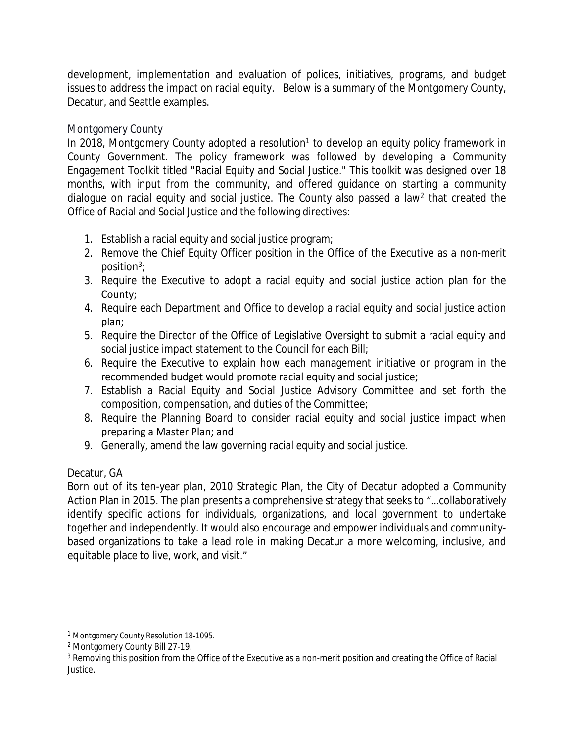development, implementation and evaluation of polices, initiatives, programs, and budget issues to address the impact on racial equity. Below is a summary of the Montgomery County, Decatur, and Seattle examples.

### Montgomery County

In 2018, Montgomery County adopted a resolution<sup>1</sup> to develop an equity policy framework in County Government. The policy framework was followed by developing a Community Engagement Toolkit titled "Racial Equity and Social Justice." This toolkit was designed over 18 months, with input from the community, and offered guidance on starting a community dialogue on racial equity and social justice. The County also passed a law<sup>2</sup> that created the Office of Racial and Social Justice and the following directives:

- 1. Establish a racial equity and social justice program;
- 2. Remove the Chief Equity Officer position in the Office of the Executive as a non-merit position<sup>3</sup> ;
- 3. Require the Executive to adopt a racial equity and social justice action plan for the County;
- 4. Require each Department and Office to develop a racial equity and social justice action plan;
- 5. Require the Director of the Office of Legislative Oversight to submit a racial equity and social justice impact statement to the Council for each Bill;
- 6. Require the Executive to explain how each management initiative or program in the recommended budget would promote racial equity and social justice;
- 7. Establish a Racial Equity and Social Justice Advisory Committee and set forth the composition, compensation, and duties of the Committee;
- 8. Require the Planning Board to consider racial equity and social justice impact when preparing a Master Plan; and
- 9. Generally, amend the law governing racial equity and social justice.

### Decatur, GA

Born out of its ten-year plan, 2010 Strategic Plan, the City of Decatur adopted a Community Action Plan in 2015. The plan presents a comprehensive strategy that seeks to "…collaboratively identify specific actions for individuals, organizations, and local government to undertake together and independently. It would also encourage and empower individuals and communitybased organizations to take a lead role in making Decatur a more welcoming, inclusive, and equitable place to live, work, and visit."

<sup>1</sup> Montgomery County Resolution 18-1095.

<sup>2</sup> Montgomery County Bill 27-19.

 $^3$  Removing this position from the Office of the Executive as a non-merit position and creating the Office of Racial Justice.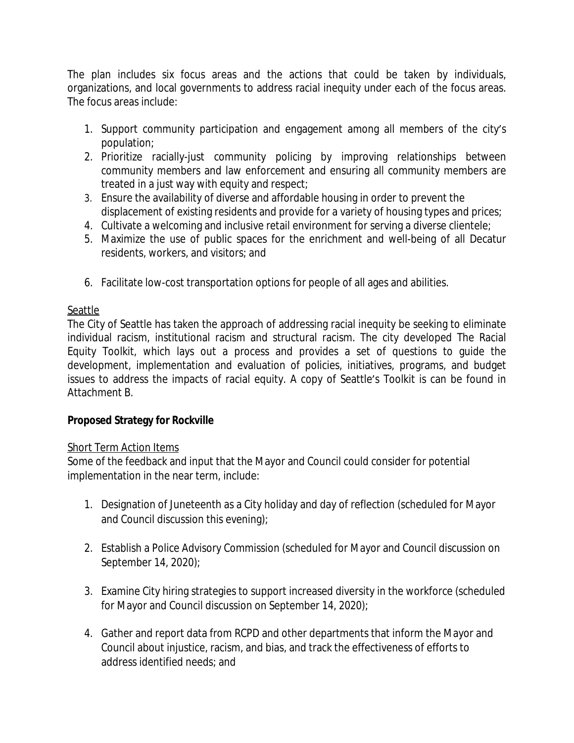The plan includes six focus areas and the actions that could be taken by individuals, organizations, and local governments to address racial inequity under each of the focus areas. The focus areas include:

- 1. Support community participation and engagement among all members of the city's population;
- 2. Prioritize racially-just community policing by improving relationships between community members and law enforcement and ensuring all community members are treated in a just way with equity and respect;
- 3. Ensure the availability of diverse and affordable housing in order to prevent the displacement of existing residents and provide for a variety of housing types and prices;
- 4. Cultivate a welcoming and inclusive retail environment for serving a diverse clientele;
- 5. Maximize the use of public spaces for the enrichment and well-being of all Decatur residents, workers, and visitors; and
- 6. Facilitate low-cost transportation options for people of all ages and abilities.

### **Seattle**

The City of Seattle has taken the approach of addressing racial inequity be seeking to eliminate individual racism, institutional racism and structural racism. The city developed The Racial Equity Toolkit, which lays out a process and provides a set of questions to guide the development, implementation and evaluation of policies, initiatives, programs, and budget issues to address the impacts of racial equity. A copy of Seattle's Toolkit is can be found in Attachment B.

# **Proposed Strategy for Rockville**

### Short Term Action Items

Some of the feedback and input that the Mayor and Council could consider for potential implementation in the near term, include:

- 1. Designation of Juneteenth as a City holiday and day of reflection (scheduled for Mayor and Council discussion this evening);
- 2. Establish a Police Advisory Commission (scheduled for Mayor and Council discussion on September 14, 2020);
- 3. Examine City hiring strategies to support increased diversity in the workforce (scheduled for Mayor and Council discussion on September 14, 2020);
- 4. Gather and report data from RCPD and other departments that inform the Mayor and Council about injustice, racism, and bias, and track the effectiveness of efforts to address identified needs; and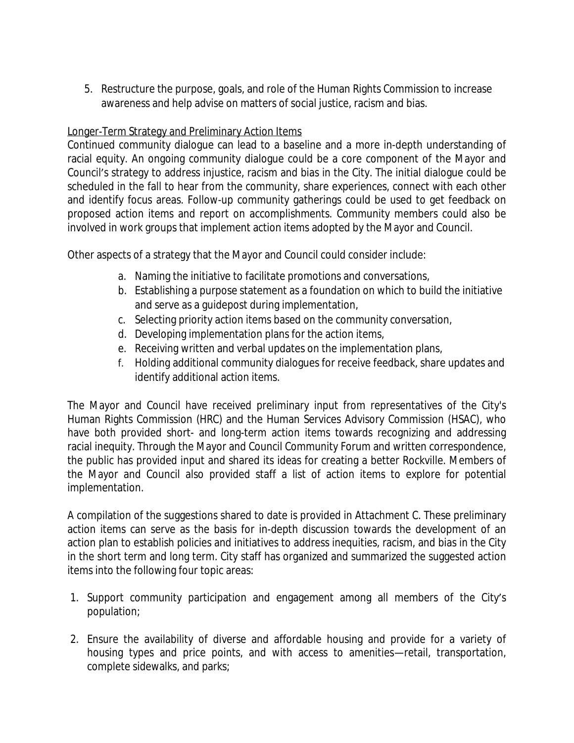5. Restructure the purpose, goals, and role of the Human Rights Commission to increase awareness and help advise on matters of social justice, racism and bias.

### Longer-Term Strategy and Preliminary Action Items

Continued community dialogue can lead to a baseline and a more in-depth understanding of racial equity. An ongoing community dialogue could be a core component of the Mayor and Council's strategy to address injustice, racism and bias in the City. The initial dialogue could be scheduled in the fall to hear from the community, share experiences, connect with each other and identify focus areas. Follow-up community gatherings could be used to get feedback on proposed action items and report on accomplishments. Community members could also be involved in work groups that implement action items adopted by the Mayor and Council.

Other aspects of a strategy that the Mayor and Council could consider include:

- a. Naming the initiative to facilitate promotions and conversations,
- b. Establishing a purpose statement as a foundation on which to build the initiative and serve as a guidepost during implementation,
- c. Selecting priority action items based on the community conversation,
- d. Developing implementation plans for the action items,
- e. Receiving written and verbal updates on the implementation plans,
- f. Holding additional community dialogues for receive feedback, share updates and identify additional action items.

The Mayor and Council have received preliminary input from representatives of the City's Human Rights Commission (HRC) and the Human Services Advisory Commission (HSAC), who have both provided short- and long-term action items towards recognizing and addressing racial inequity. Through the Mayor and Council Community Forum and written correspondence, the public has provided input and shared its ideas for creating a better Rockville. Members of the Mayor and Council also provided staff a list of action items to explore for potential implementation.

A compilation of the suggestions shared to date is provided in Attachment C. These preliminary action items can serve as the basis for in-depth discussion towards the development of an action plan to establish policies and initiatives to address inequities, racism, and bias in the City in the short term and long term. City staff has organized and summarized the suggested action items into the following four topic areas:

- 1. Support community participation and engagement among all members of the City's population;
- 2. Ensure the availability of diverse and affordable housing and provide for a variety of housing types and price points, and with access to amenities—retail, transportation, complete sidewalks, and parks;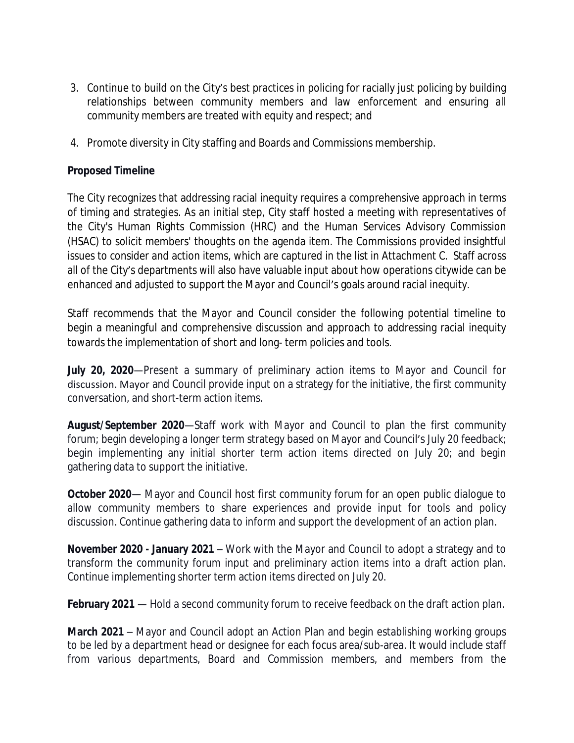- 3. Continue to build on the City's best practices in policing for racially just policing by building relationships between community members and law enforcement and ensuring all community members are treated with equity and respect; and
- 4. Promote diversity in City staffing and Boards and Commissions membership.

#### **Proposed Timeline**

The City recognizes that addressing racial inequity requires a comprehensive approach in terms of timing and strategies. As an initial step, City staff hosted a meeting with representatives of the City's Human Rights Commission (HRC) and the Human Services Advisory Commission (HSAC) to solicit members' thoughts on the agenda item. The Commissions provided insightful issues to consider and action items, which are captured in the list in Attachment C. Staff across all of the City's departments will also have valuable input about how operations citywide can be enhanced and adjusted to support the Mayor and Council's goals around racial inequity.

Staff recommends that the Mayor and Council consider the following potential timeline to begin a meaningful and comprehensive discussion and approach to addressing racial inequity towards the implementation of short and long- term policies and tools.

**July 20, 2020**—Present a summary of preliminary action items to Mayor and Council for discussion. Mayor and Council provide input on a strategy for the initiative, the first community conversation, and short-term action items.

**August/September 2020**—Staff work with Mayor and Council to plan the first community forum; begin developing a longer term strategy based on Mayor and Council's July 20 feedback; begin implementing any initial shorter term action items directed on July 20; and begin gathering data to support the initiative.

**October 2020**— Mayor and Council host first community forum for an open public dialogue to allow community members to share experiences and provide input for tools and policy discussion. Continue gathering data to inform and support the development of an action plan.

**November 2020 - January 2021** – Work with the Mayor and Council to adopt a strategy and to transform the community forum input and preliminary action items into a draft action plan. Continue implementing shorter term action items directed on July 20.

**February 2021** — Hold a second community forum to receive feedback on the draft action plan.

**March 2021** – Mayor and Council adopt an Action Plan and begin establishing working groups to be led by a department head or designee for each focus area/sub-area. It would include staff from various departments, Board and Commission members, and members from the